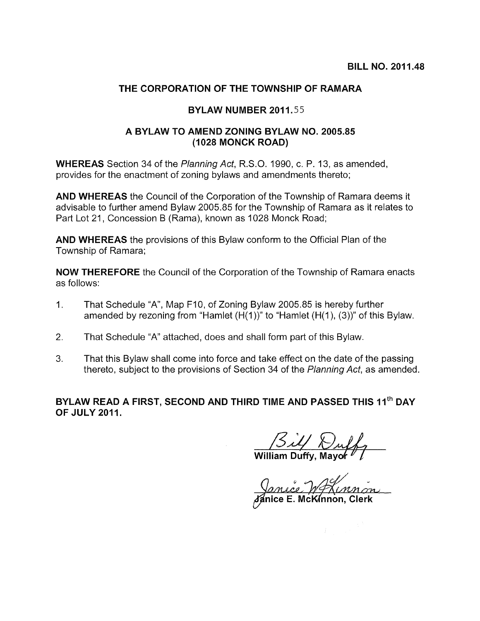## THE CORPORATION OF THE TOWNSHIP OF RAMARA

## BYLAW NUMBER 2011.55

## A BYLAW TO AMEND ZONING BYLAW NO. 2005.85 (1028 MONCK ROAD)

WHEREAS Section 34 of the Planning Act, R.S.O. 1990, c. P. 13, as amended, provides for the enactment of zoning bylaws and amendments thereto;

AND WHEREAS the Council of the Corporation of the Township of Ramara deems it advisable to further amend Bylaw 2005.85 for the Township of Ramara as it relates to Part Lot 21, Concession <sup>B</sup> (Rama), known as 1028 Monck Road;

AND WHEREAS the provisions of this Bylaw conform to the Official Plan of the Township of Ramara;

NOW THEREFORE the Council of the Corporation of the Township of Ramara enacts as follows:

- 1. That Schedule "A", Map F10, of Zoning Bylaw 2005.85 is hereby further amended by rezoning from "Hamlet (H(1 ))" to "Hamlet (H(1), (3))" of this Bylaw.
- 2. That Schedule "A" attached, does and shall form part of this Bylaw.
- 3. That this Bylaw shall come into force and take effect on the date of the passing thereto, subject to the provisions of Section 34 of the Planning Act, as amended.

BYLAW READ A FIRST, SECOND AND THIRD TIME AND PASSED THIS 11<sup>th</sup> DAY OF JULY 2011.

 $\beta$ il William Duffy, Mayor  $\mathbb{Z}/\mathbb{Z}$ 

Clerk